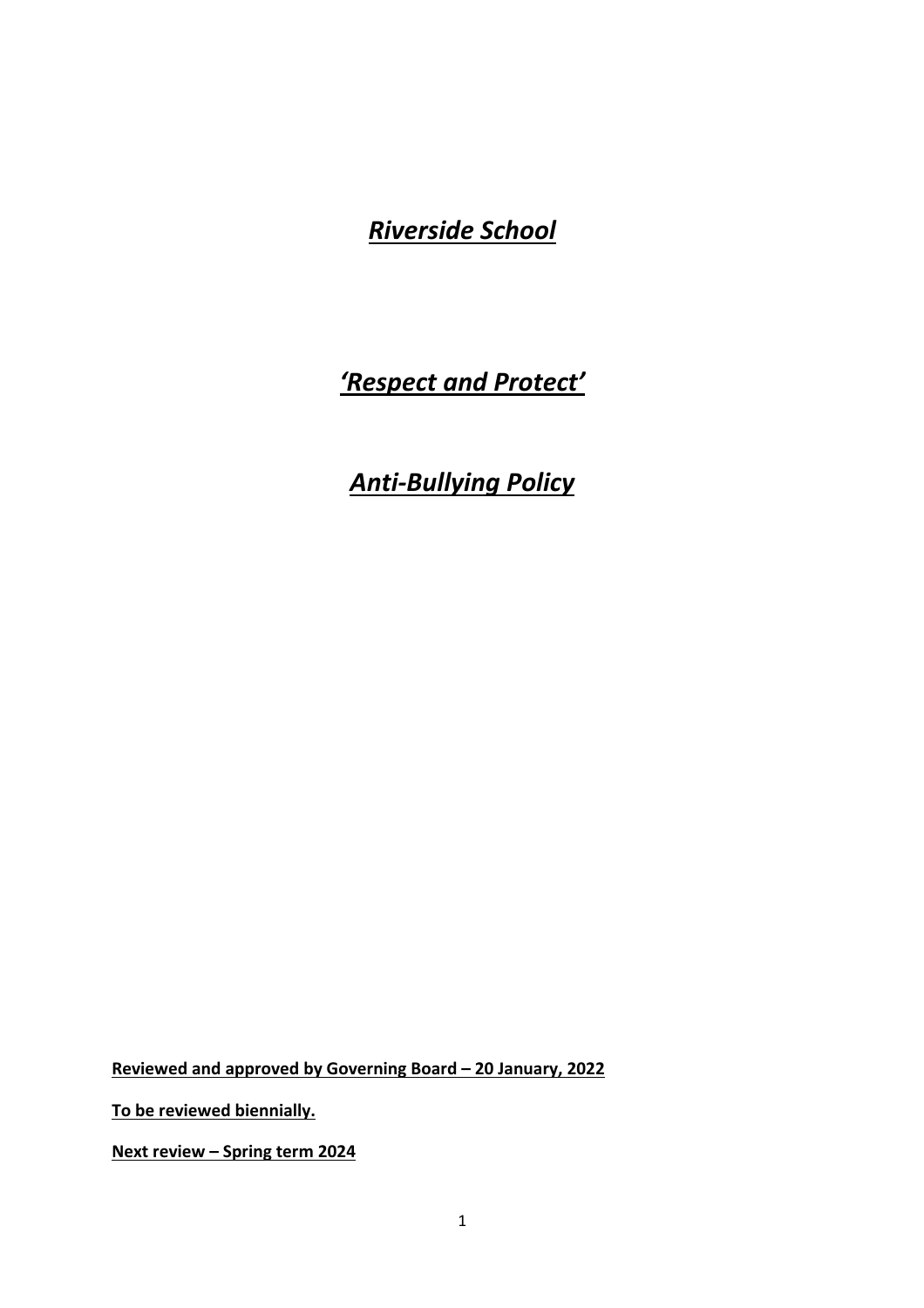*Riverside School*

## *'Respect and Protect'*

# *Anti-Bullying Policy*

**Reviewed and approved by Governing Board – 20 January, 2022** 

**To be reviewed biennially.** 

**Next review – Spring term 2024**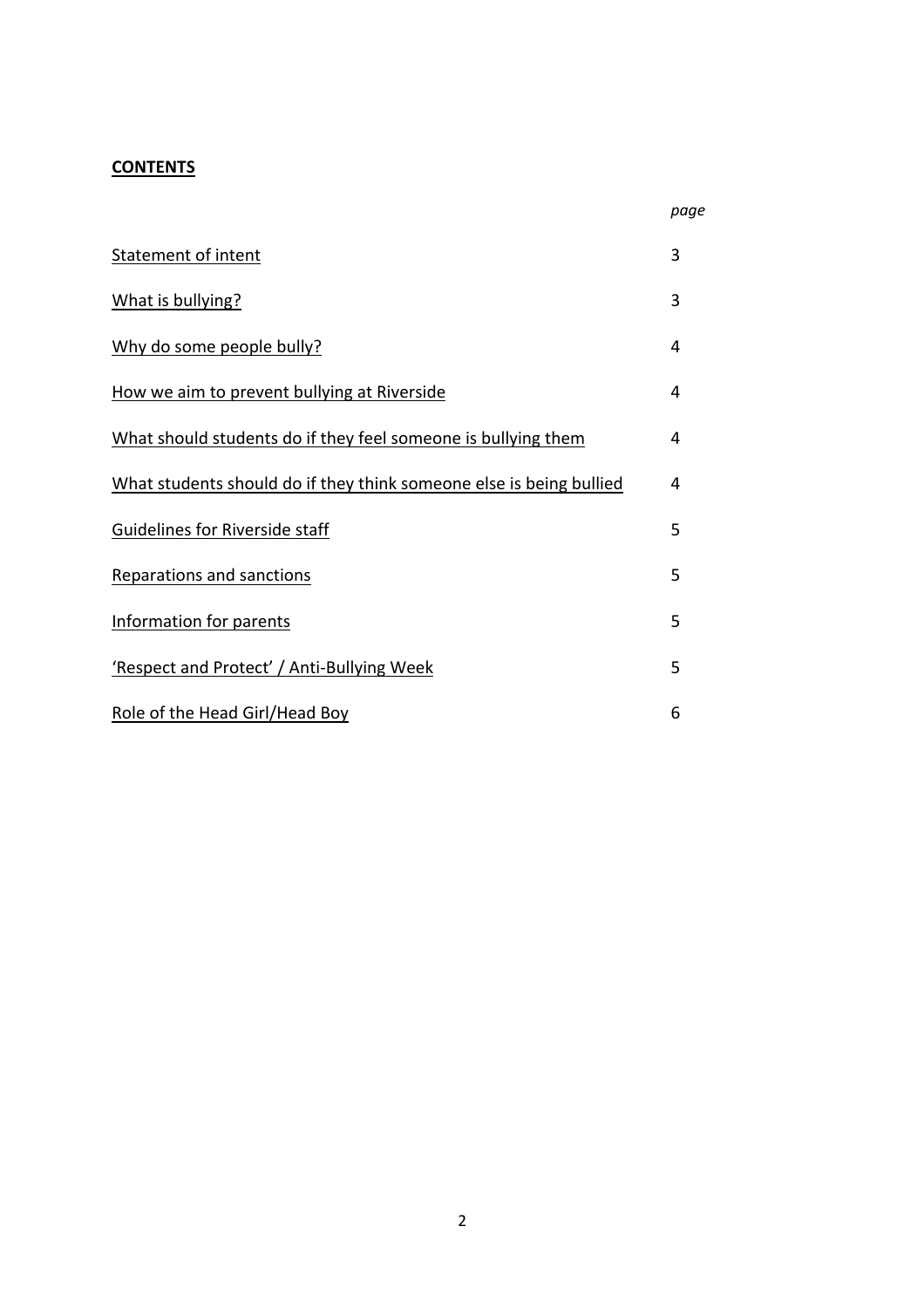## **CONTENTS**

| Statement of intent                                                 | 3 |
|---------------------------------------------------------------------|---|
| What is bullying?                                                   | 3 |
| Why do some people bully?                                           | 4 |
| How we aim to prevent bullying at Riverside                         | 4 |
| What should students do if they feel someone is bullying them       | 4 |
| What students should do if they think someone else is being bullied | 4 |
| Guidelines for Riverside staff                                      | 5 |
| <b>Reparations and sanctions</b>                                    | 5 |
| Information for parents                                             | 5 |
| 'Respect and Protect' / Anti-Bullying Week                          | 5 |
| Role of the Head Girl/Head Boy                                      | 6 |

*page*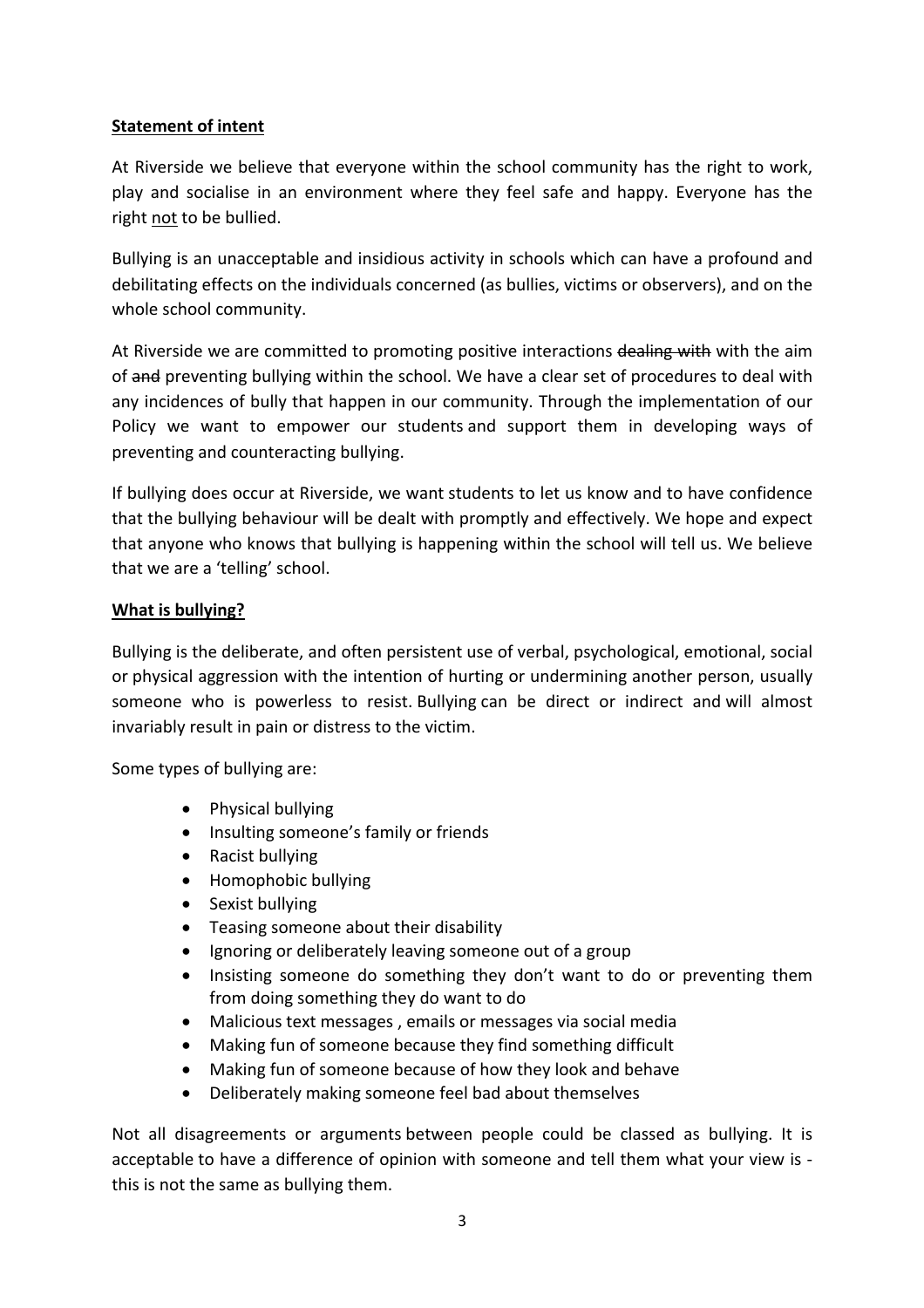#### **Statement of intent**

At Riverside we believe that everyone within the school community has the right to work, play and socialise in an environment where they feel safe and happy. Everyone has the right not to be bullied.

Bullying is an unacceptable and insidious activity in schools which can have a profound and debilitating effects on the individuals concerned (as bullies, victims or observers), and on the whole school community.

At Riverside we are committed to promoting positive interactions dealing with with the aim of and preventing bullying within the school. We have a clear set of procedures to deal with any incidences of bully that happen in our community. Through the implementation of our Policy we want to empower our students and support them in developing ways of preventing and counteracting bullying.

If bullying does occur at Riverside, we want students to let us know and to have confidence that the bullying behaviour will be dealt with promptly and effectively. We hope and expect that anyone who knows that bullying is happening within the school will tell us. We believe that we are a 'telling' school.

#### **What is bullying?**

Bullying is the deliberate, and often persistent use of verbal, psychological, emotional, social or physical aggression with the intention of hurting or undermining another person, usually someone who is powerless to resist. Bullying can be direct or indirect and will almost invariably result in pain or distress to the victim.

Some types of bullying are:

- Physical bullying
- Insulting someone's family or friends
- Racist bullying
- Homophobic bullying
- Sexist bullying
- Teasing someone about their disability
- Ignoring or deliberately leaving someone out of a group
- Insisting someone do something they don't want to do or preventing them from doing something they do want to do
- Malicious text messages , emails or messages via social media
- Making fun of someone because they find something difficult
- Making fun of someone because of how they look and behave
- Deliberately making someone feel bad about themselves

Not all disagreements or arguments between people could be classed as bullying. It is acceptable to have a difference of opinion with someone and tell them what your view is this is not the same as bullying them.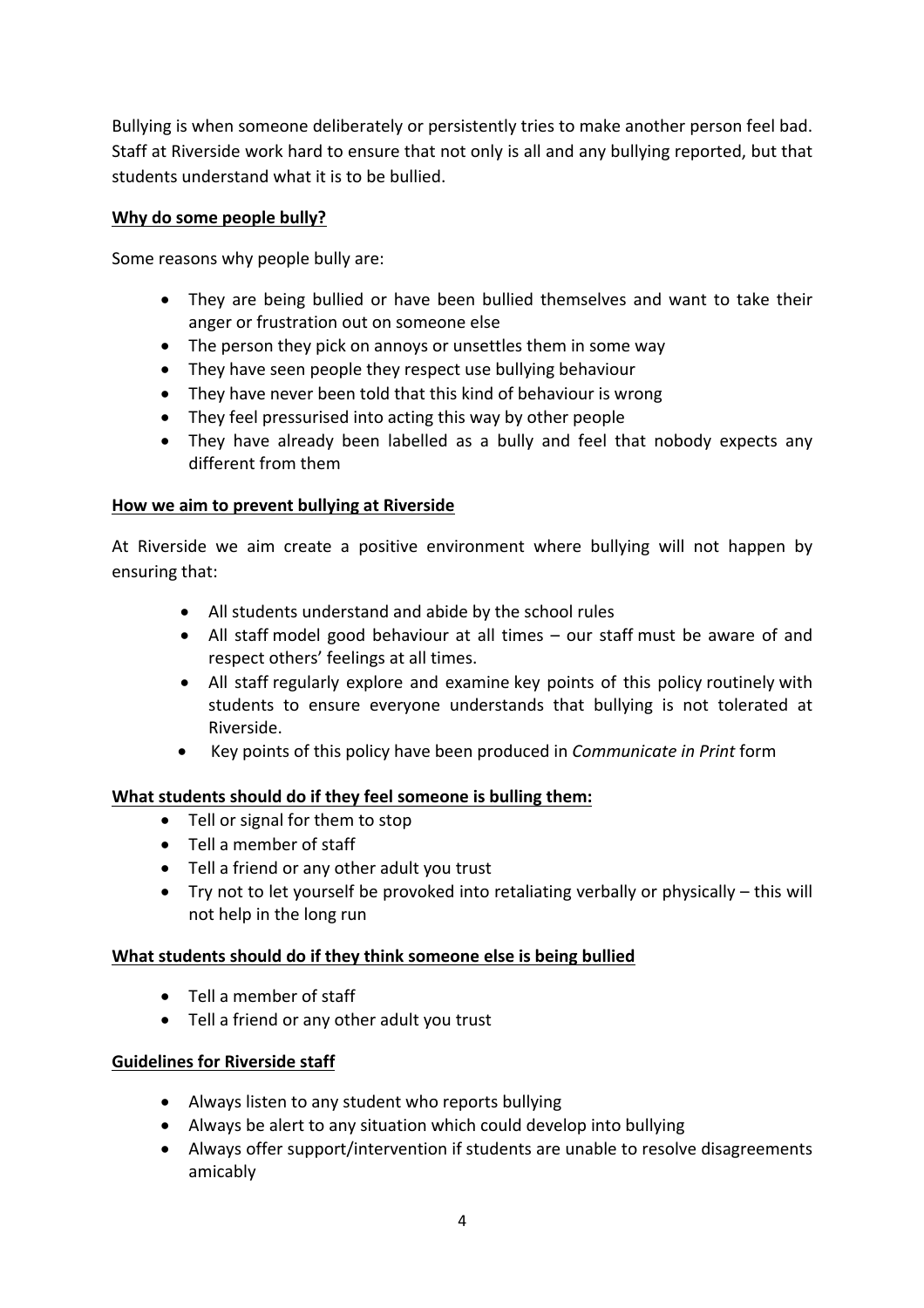Bullying is when someone deliberately or persistently tries to make another person feel bad. Staff at Riverside work hard to ensure that not only is all and any bullying reported, but that students understand what it is to be bullied.

## **Why do some people bully?**

Some reasons why people bully are:

- They are being bullied or have been bullied themselves and want to take their anger or frustration out on someone else
- The person they pick on annoys or unsettles them in some way
- They have seen people they respect use bullying behaviour
- They have never been told that this kind of behaviour is wrong
- They feel pressurised into acting this way by other people
- They have already been labelled as a bully and feel that nobody expects any different from them

#### **How we aim to prevent bullying at Riverside**

At Riverside we aim create a positive environment where bullying will not happen by ensuring that:

- All students understand and abide by the school rules
- All staff model good behaviour at all times our staff must be aware of and respect others' feelings at all times.
- All staff regularly explore and examine key points of this policy routinely with students to ensure everyone understands that bullying is not tolerated at Riverside.
- Key points of this policy have been produced in *Communicate in Print* form

## **What students should do if they feel someone is bulling them:**

- Tell or signal for them to stop
- Tell a member of staff
- Tell a friend or any other adult you trust
- Try not to let yourself be provoked into retaliating verbally or physically this will not help in the long run

#### **What students should do if they think someone else is being bullied**

- Tell a member of staff
- Tell a friend or any other adult you trust

## **Guidelines for Riverside staff**

- Always listen to any student who reports bullying
- Always be alert to any situation which could develop into bullying
- Always offer support/intervention if students are unable to resolve disagreements amicably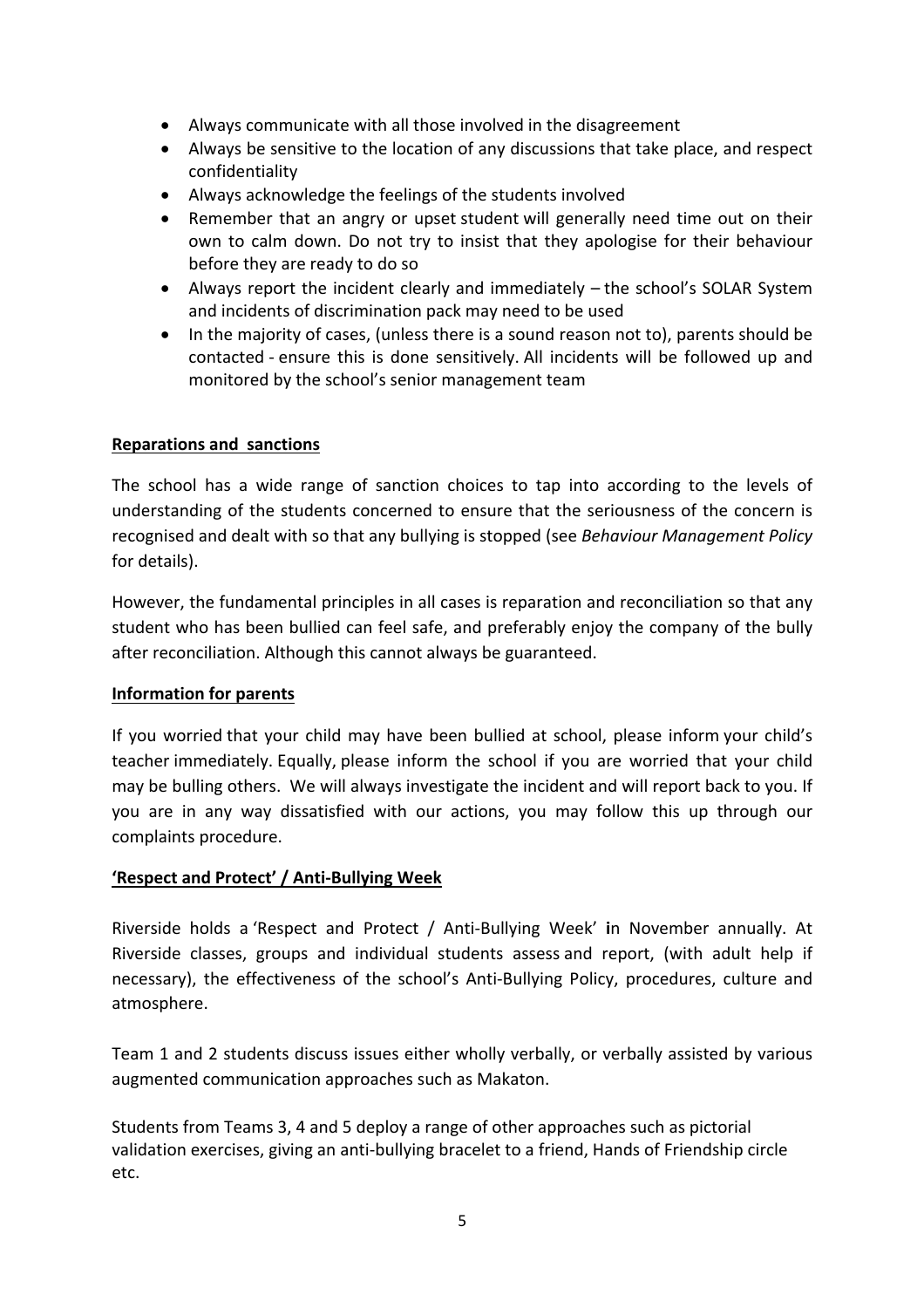- Always communicate with all those involved in the disagreement
- Always be sensitive to the location of any discussions that take place, and respect confidentiality
- Always acknowledge the feelings of the students involved
- Remember that an angry or upset student will generally need time out on their own to calm down. Do not try to insist that they apologise for their behaviour before they are ready to do so
- Always report the incident clearly and immediately the school's SOLAR System and incidents of discrimination pack may need to be used
- In the majority of cases, (unless there is a sound reason not to), parents should be contacted - ensure this is done sensitively. All incidents will be followed up and monitored by the school's senior management team

## **Reparations and sanctions**

The school has a wide range of sanction choices to tap into according to the levels of understanding of the students concerned to ensure that the seriousness of the concern is recognised and dealt with so that any bullying is stopped (see *Behaviour Management Policy*  for details).

However, the fundamental principles in all cases is reparation and reconciliation so that any student who has been bullied can feel safe, and preferably enjoy the company of the bully after reconciliation. Although this cannot always be guaranteed.

#### **Information for parents**

If you worried that your child may have been bullied at school, please inform your child's teacher immediately. Equally, please inform the school if you are worried that your child may be bulling others. We will always investigate the incident and will report back to you. If you are in any way dissatisfied with our actions, you may follow this up through our complaints procedure.

## **'Respect and Protect' / Anti-Bullying Week**

Riverside holds a 'Respect and Protect / Anti-Bullying Week' **i**n November annually. At Riverside classes, groups and individual students assess and report, (with adult help if necessary), the effectiveness of the school's Anti-Bullying Policy, procedures, culture and atmosphere.

Team 1 and 2 students discuss issues either wholly verbally, or verbally assisted by various augmented communication approaches such as Makaton.

Students from Teams 3, 4 and 5 deploy a range of other approaches such as pictorial validation exercises, giving an anti-bullying bracelet to a friend, Hands of Friendship circle etc.